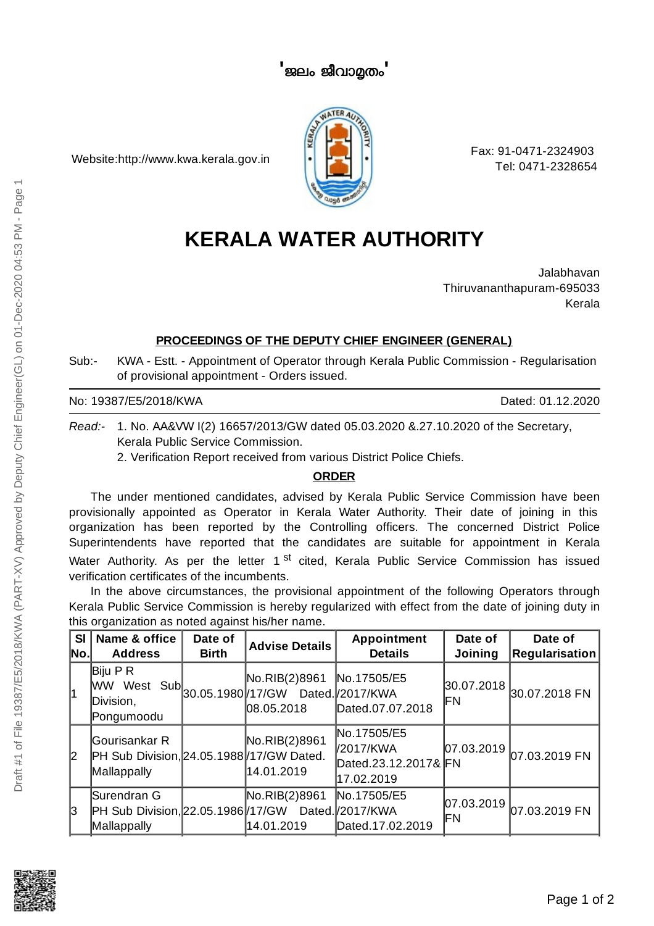Website:http://www.kwa.kerala.gov.in



Fax: 91-0471-2324903 Tel: 0471-2328654

# **KERALA WATER AUTHORITY**

Jalabhavan Thiruvananthapuram-695033 Kerala

## **PROCEEDINGS OF THE DEPUTY CHIEF ENGINEER (GENERAL)**

Sub:- KWA - Estt. - Appointment of Operator through Kerala Public Commission - Regularisation of provisional appointment - Orders issued.

No: 19387/E5/2018/KWA Dated: 01.12.2020

*Read:-* 1. No. AA&VW I(2) 16657/2013/GW dated 05.03.2020 &.27.10.2020 of the Secretary, Kerala Public Service Commission.

2. Verification Report received from various District Police Chiefs.

### **ORDER**

The under mentioned candidates, advised by Kerala Public Service Commission have been provisionally appointed as Operator in Kerala Water Authority. Their date of joining in this organization has been reported by the Controlling officers. The concerned District Police Superintendents have reported that the candidates are suitable for appointment in Kerala Water Authority. As per the letter 1<sup>st</sup> cited, Kerala Public Service Commission has issued verification certificates of the incumbents.

In the above circumstances, the provisional appointment of the following Operators through Kerala Public Service Commission is hereby regularized with effect from the date of joining duty in this organization as noted against his/her name.

| SI<br>No. | Name & office<br><b>Address</b>                                                       | Date of<br><b>Birth</b> | <b>Advise Details</b>                                              | Appointment<br><b>Details</b>                                  | Date of<br><b>Joining</b> | Date of<br><b>Regularisation</b> |
|-----------|---------------------------------------------------------------------------------------|-------------------------|--------------------------------------------------------------------|----------------------------------------------------------------|---------------------------|----------------------------------|
| 1         | Biju P R<br>WW West<br>Division,<br>Pongumoodu                                        |                         | No.RIB(2)8961<br>Sub 30.05.1980 17/GW Dated 2017/KWA<br>08.05.2018 | No.17505/E5<br>Dated.07.07.2018                                | IΕN                       | $ 30.07.2018 _{30.07.2018}$ FN   |
| 12        | Gourisankar R<br>PH Sub Division, 24.05.1988/17/GW Dated.<br>Mallappally              |                         | No.RIB(2)8961<br>14.01.2019                                        | No.17505/E5<br>V2017/KWA<br>Dated.23.12.2017& FN<br>17.02.2019 |                           | $ 07.03.2019 07.03.2019$ FN      |
| 13        | Surendran G<br>PH Sub Division, 22.05.1986 / 17/ GW Dated. / 2017/ KWA<br>Mallappally |                         | No.RIB(2)8961<br>14.01.2019                                        | No.17505/E5<br>Dated.17.02.2019                                | IΕN                       | $ 07.03.2019 07.03.2019$ FN      |